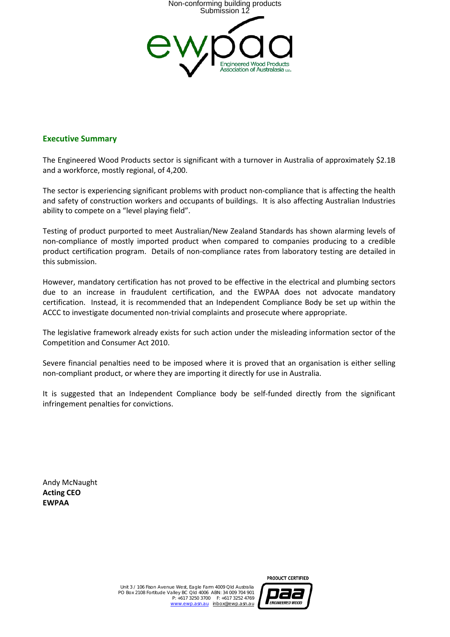

### **Executive Summary**

The Engineered Wood Products sector is significant with a turnover in Australia of approximately \$2.1B and a workforce, mostly regional, of 4,200.

The sector is experiencing significant problems with product non-compliance that is affecting the health and safety of construction workers and occupants of buildings. It is also affecting Australian Industries ability to compete on a "level playing field".

Testing of product purported to meet Australian/New Zealand Standards has shown alarming levels of non-compliance of mostly imported product when compared to companies producing to a credible product certification program. Details of non-compliance rates from laboratory testing are detailed in this submission.

However, mandatory certification has not proved to be effective in the electrical and plumbing sectors due to an increase in fraudulent certification, and the EWPAA does not advocate mandatory certification. Instead, it is recommended that an Independent Compliance Body be set up within the ACCC to investigate documented non-trivial complaints and prosecute where appropriate.

The legislative framework already exists for such action under the misleading information sector of the Competition and Consumer Act 2010.

Severe financial penalties need to be imposed where it is proved that an organisation is either selling non-compliant product, or where they are importing it directly for use in Australia.

It is suggested that an Independent Compliance body be self-funded directly from the significant infringement penalties for convictions.

Andy McNaught **Acting CEO EWPAA**



PRODUCT CERTIFIED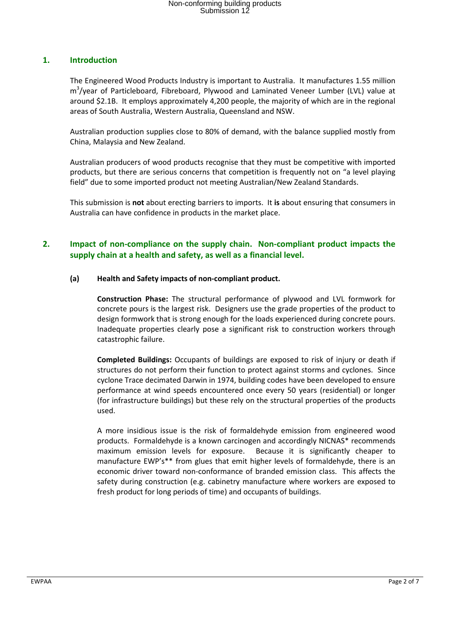## **1. Introduction**

The Engineered Wood Products Industry is important to Australia. It manufactures 1.55 million m<sup>3</sup>/year of Particleboard, Fibreboard, Plywood and Laminated Veneer Lumber (LVL) value at around \$2.1B. It employs approximately 4,200 people, the majority of which are in the regional areas of South Australia, Western Australia, Queensland and NSW.

Australian production supplies close to 80% of demand, with the balance supplied mostly from China, Malaysia and New Zealand.

Australian producers of wood products recognise that they must be competitive with imported products, but there are serious concerns that competition is frequently not on "a level playing field" due to some imported product not meeting Australian/New Zealand Standards.

This submission is **not** about erecting barriers to imports. It **is** about ensuring that consumers in Australia can have confidence in products in the market place.

## **2. Impact of non-compliance on the supply chain. Non-compliant product impacts the supply chain at a health and safety, as well as a financial level.**

### **(a) Health and Safety impacts of non-compliant product.**

**Construction Phase:** The structural performance of plywood and LVL formwork for concrete pours is the largest risk. Designers use the grade properties of the product to design formwork that is strong enough for the loads experienced during concrete pours. Inadequate properties clearly pose a significant risk to construction workers through catastrophic failure.

**Completed Buildings:** Occupants of buildings are exposed to risk of injury or death if structures do not perform their function to protect against storms and cyclones. Since cyclone Trace decimated Darwin in 1974, building codes have been developed to ensure performance at wind speeds encountered once every 50 years (residential) or longer (for infrastructure buildings) but these rely on the structural properties of the products used.

A more insidious issue is the risk of formaldehyde emission from engineered wood products. Formaldehyde is a known carcinogen and accordingly NICNAS\* recommends maximum emission levels for exposure. Because it is significantly cheaper to manufacture EWP's\*\* from glues that emit higher levels of formaldehyde, there is an economic driver toward non-conformance of branded emission class. This affects the safety during construction (e.g. cabinetry manufacture where workers are exposed to fresh product for long periods of time) and occupants of buildings.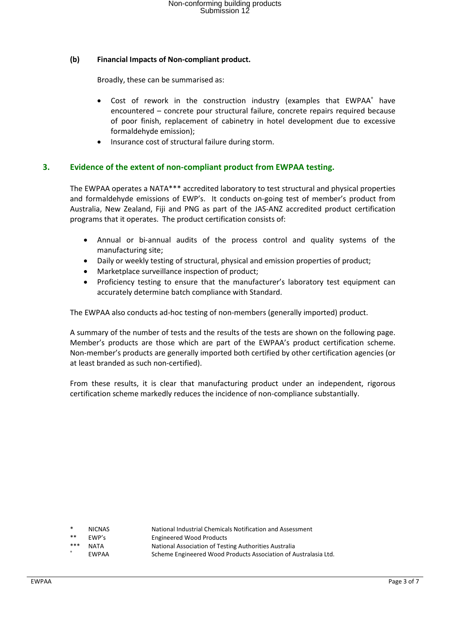### **(b) Financial Impacts of Non-compliant product.**

Broadly, these can be summarised as:

- Cost of rework in the construction industry (examples that EWPAA<sup>+</sup> have encountered – concrete pour structural failure, concrete repairs required because of poor finish, replacement of cabinetry in hotel development due to excessive formaldehyde emission);
- Insurance cost of structural failure during storm.

### **3. Evidence of the extent of non-compliant product from EWPAA testing.**

The EWPAA operates a NATA\*\*\* accredited laboratory to test structural and physical properties and formaldehyde emissions of EWP's. It conducts on-going test of member's product from Australia, New Zealand, Fiji and PNG as part of the JAS-ANZ accredited product certification programs that it operates. The product certification consists of:

- Annual or bi-annual audits of the process control and quality systems of the manufacturing site;
- Daily or weekly testing of structural, physical and emission properties of product;
- Marketplace surveillance inspection of product;
- Proficiency testing to ensure that the manufacturer's laboratory test equipment can accurately determine batch compliance with Standard.

The EWPAA also conducts ad-hoc testing of non-members (generally imported) product.

A summary of the number of tests and the results of the tests are shown on the following page. Member's products are those which are part of the EWPAA's product certification scheme. Non-member's products are generally imported both certified by other certification agencies (or at least branded as such non-certified).

From these results, it is clear that manufacturing product under an independent, rigorous certification scheme markedly reduces the incidence of non-compliance substantially.

| $\ast$ | <b>NICNAS</b> |
|--------|---------------|
|        |               |

- National Industrial Chemicals Notification and Assessment
- EWP's Engineered Wood Products
- 
- 
- \* NATA National Association of Testing Authorities Australia<br>19 EWPAA Scheme Engineered Wood Products Association of Australasia Ltd.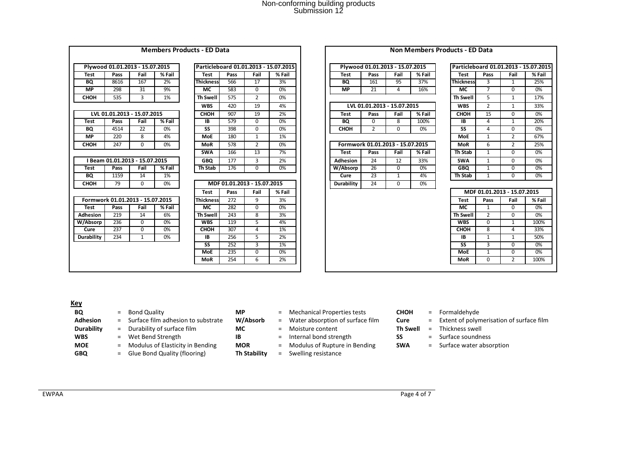#### **Members Products - ED Data Non Members Products - ED Data**

|            |      | Plywood 01.01.2013 - 15.07.2015  |        |                 |      |                             | Particleboard 01.01.2013 - 15.07.2015 |                   |          | Plywood 01.01.2013 - 15.07.2015  |        |                  |                | Particleboard 01.01.2013 - 15.07.20 |       |
|------------|------|----------------------------------|--------|-----------------|------|-----------------------------|---------------------------------------|-------------------|----------|----------------------------------|--------|------------------|----------------|-------------------------------------|-------|
| Test       | Pass | Fail                             | % Fail | Test            | Pass | Fail                        | % Fail                                | Test              | Pass     | Fail                             | % Fail | <b>Test</b>      | Pass           | Fail                                | % Fai |
| <b>BQ</b>  | 8616 | 167                              | 2%     | Thickness       | 566  | 17                          | 3%                                    | <b>BQ</b>         | 161      | 95                               | 37%    | <b>Thickness</b> | 3              | $\mathbf{1}$                        | 25%   |
| <b>MP</b>  | 298  | 31                               | 9%     | <b>MC</b>       | 583  | $\Omega$                    | 0%                                    | <b>MP</b>         | 21       | 4                                | 16%    | <b>MC</b>        | $\overline{7}$ | $\Omega$                            | 0%    |
| СНОН       | 535  | 3                                | 1%     | <b>Th Swell</b> | 575  | $\overline{2}$              | 0%                                    |                   |          |                                  |        | Th Swell         | 5              | $\mathbf{1}$                        | 17%   |
|            |      |                                  |        | <b>WBS</b>      | 420  | 19                          | 4%                                    |                   |          | LVL 01.01.2013 - 15.07.2015      |        | <b>WBS</b>       | $\overline{2}$ | $\mathbf{1}$                        | 33%   |
|            |      | LVL 01.01.2013 - 15.07.2015      |        | СНОН            | 907  | 19                          | 2%                                    | <b>Test</b>       | Pass     | Fail                             | % Fail | СНОН             | 15             | $\Omega$                            | 0%    |
| Test       | Pass | Fail                             | % Fail | IB              | 579  | $\Omega$                    | 0%                                    | BQ                | $\Omega$ | 8                                | 100%   | IB               | 4              | $\mathbf{1}$                        | 20%   |
| BQ         | 4514 | 22                               | 0%     | SS              | 398  | $\Omega$                    | 0%                                    | СНОН              | 2        | $\Omega$                         | 0%     | <b>SS</b>        | 4              | 0                                   | 0%    |
| <b>MP</b>  | 220  | 8                                | 4%     | MoE             | 180  | 1                           | 1%                                    |                   |          |                                  |        | <b>MoE</b>       | $\mathbf{1}$   | $\overline{2}$                      | 67%   |
| СНОН       | 247  | 0                                | 0%     | <b>MoR</b>      | 578  | $\overline{2}$              | 0%                                    |                   |          | Formwork 01.01.2013 - 15.07.2015 |        | <b>MoR</b>       | 6              | $\overline{2}$                      | 25%   |
|            |      |                                  |        | <b>SWA</b>      | 166  | 13                          | 7%                                    | Test              | Pass     | Fail                             | % Fail | Th Stab          | $\mathbf{1}$   | $\Omega$                            | 0%    |
|            |      | I Beam 01.01.2013 - 15.07.2015   |        | <b>GBO</b>      | 177  | 3                           | 2%                                    | <b>Adhesion</b>   | 24       | 12                               | 33%    | <b>SWA</b>       | $\mathbf{1}$   | $\Omega$                            | 0%    |
| Test       | Pass | Fail                             | % Fail | Th Stab         | 176  | $\Omega$                    | 0%                                    | W/Absorp          | 26       | $\Omega$                         | 0%     | <b>GBO</b>       | 1              | $\Omega$                            | 0%    |
| BQ         | 1159 | 14                               | 1%     |                 |      |                             |                                       | Cure              | 23       | $\mathbf{1}$                     | 4%     | Th Stab          | $\mathbf{1}$   | $\Omega$                            | 0%    |
| СНОН       | 79   | 0                                | 0%     |                 |      | MDF 01.01.2013 - 15.07.2015 |                                       | <b>Durability</b> | 24       | $\Omega$                         | 0%     |                  |                |                                     |       |
|            |      |                                  |        | <b>Test</b>     | Pass | Fail                        | % Fail                                |                   |          |                                  |        |                  |                | MDF 01.01.2013 - 15.07.2015         |       |
|            |      | Formwork 01.01.2013 - 15.07.2015 |        | Thickness       | 272  | 9                           | 3%                                    |                   |          |                                  |        | <b>Test</b>      | Pass           | Fail                                | % Fai |
| Test       | Pass | Fail                             | % Fail | МC              | 282  | $\Omega$                    | 0%                                    |                   |          |                                  |        | <b>MC</b>        | $\mathbf{1}$   | $\Omega$                            | 0%    |
| Adhesion   | 219  | 14                               | 6%     | <b>Th Swell</b> | 243  | 8                           | 3%                                    |                   |          |                                  |        | Th Swell         | $\overline{2}$ | $\Omega$                            | 0%    |
| W/Absorp   | 236  | 0                                | 0%     | <b>WBS</b>      | 119  | 5                           | 4%                                    |                   |          |                                  |        | <b>WBS</b>       | $\mathbf{0}$   | 1                                   | 100%  |
| Cure       | 237  | 0                                | 0%     | СНОН            | 307  | 4                           | 1%                                    |                   |          |                                  |        | СНОН             | 8              | 4                                   | 33%   |
| Durability | 234  | $\mathbf{1}$                     | 0%     | <b>IB</b>       | 256  | 5                           | 2%                                    |                   |          |                                  |        | IB               | $\mathbf{1}$   | $\mathbf{1}$                        | 50%   |
|            |      |                                  |        | <b>SS</b>       | 252  | 3                           | 1%                                    |                   |          |                                  |        | SS               | 3              | $\Omega$                            | 0%    |
|            |      |                                  |        | <b>MoE</b>      | 235  | $\Omega$                    | 0%                                    |                   |          |                                  |        | <b>MoE</b>       | $\mathbf{1}$   | $\Omega$                            | $0\%$ |
|            |      |                                  |        | <b>MoR</b>      | 254  | 6                           | 2%                                    |                   |          |                                  |        | <b>MoR</b>       | $\Omega$       | $\overline{2}$                      | 100%  |

|             | TIYWOOG 01.01.2013 - 13.07.2013  |             |        |                  |      |                             | r articicpoaru v1.v1.zv1J - 13.v7.zv1J |             | THE WOOD DIVISIONS - 19.07.2019  |             |        |                  | r articlepoaru 01.01.2013 - 13.07.20 |                             |        |
|-------------|----------------------------------|-------------|--------|------------------|------|-----------------------------|----------------------------------------|-------------|----------------------------------|-------------|--------|------------------|--------------------------------------|-----------------------------|--------|
| <b>Test</b> | Pass                             | Fail        | % Fail | Test             | Pass | Fail                        | % Fail                                 | <b>Test</b> | Pass                             | Fail        | % Fail | Test             | Pass                                 | Fail                        | % Fail |
| BQ          | 8616                             | 167         | 2%     | <b>Thickness</b> | 566  | 17                          | 3%                                     | BQ          | 161                              | 95          | 37%    | <b>Thickness</b> | 3                                    | 1                           | 25%    |
| <b>MP</b>   | 298                              | 31          | 9%     | <b>MC</b>        | 583  | 0                           | 0%                                     | <b>MP</b>   | 21                               | 4           | 16%    | МC               | $\overline{7}$                       | $\Omega$                    | 0%     |
| СНОН        | 535                              | 3           | 1%     | <b>Th Swell</b>  | 575  | $\overline{2}$              | 0%                                     |             |                                  |             |        | <b>Th Swell</b>  | 5                                    | $\mathbf{1}$                | 17%    |
|             |                                  |             |        | <b>WBS</b>       | 420  | 19                          | 4%                                     |             | LVL 01.01.2013 - 15.07.2015      |             |        | <b>WBS</b>       | $\overline{2}$                       | 1                           | 33%    |
|             | LVL 01.01.2013 - 15.07.2015      |             |        | СНОН             | 907  | 19                          | 2%                                     | <b>Test</b> | Pass                             | Fail        | % Fail | <b>CHOH</b>      | 15                                   | $\Omega$                    | 0%     |
| <b>Test</b> | Pass                             | Fail        | % Fail | <b>IB</b>        | 579  | 0                           | 0%                                     | BQ          | $\Omega$                         | 8           | 100%   | <b>IB</b>        | 4                                    | $\mathbf{1}$                | 20%    |
| BQ          | 4514                             | 22          | 0%     | SS               | 398  | $\Omega$                    | 0%                                     | <b>CHOH</b> | $\overline{2}$                   | $\Omega$    | 0%     | <b>SS</b>        | 4                                    | $\Omega$                    | 0%     |
| МP          | 220                              | 8           | 4%     | <b>MoE</b>       | 180  | $\mathbf{1}$                | 1%                                     |             |                                  |             |        | <b>MoE</b>       | 1                                    | $\overline{2}$              | 67%    |
| снон        | 247                              | $\mathbf 0$ | 0%     | <b>MoR</b>       | 578  | $\overline{2}$              | 0%                                     |             | Formwork 01.01.2013 - 15.07.2015 |             |        | <b>MoR</b>       | 6                                    | $\overline{2}$              | 25%    |
|             |                                  |             |        | <b>SWA</b>       | 166  | $\overline{13}$             | 7%                                     | Test        | Pass                             | Fail        | % Fail | Th Stab          | $\mathbf{1}$                         | $\Omega$                    | 0%     |
|             | I Beam 01.01.2013 - 15.07.2015   |             |        | <b>GBO</b>       | 177  | 3                           | 2%                                     | Adhesion    | 24                               | 12          | 33%    | <b>SWA</b>       | 1                                    | $\Omega$                    | 0%     |
| <b>Test</b> | Pass                             | Fail        | % Fail | Th Stab          | 176  | $\mathbf 0$                 | 0%                                     | W/Absorp    | 26                               | $\Omega$    | 0%     | <b>GBO</b>       | $\mathbf{1}$                         | $\Omega$                    | 0%     |
| BQ          | 1159                             | 14          | 1%     |                  |      |                             |                                        | Cure        | 23                               | 1           | 4%     | Th Stab          | 1                                    | $\Omega$                    | 0%     |
| СНОН        | 79                               | $\Omega$    | 0%     |                  |      | MDF 01.01.2013 - 15.07.2015 |                                        | Durability  | 24                               | $\mathbf 0$ | 0%     |                  |                                      |                             |        |
|             |                                  |             |        | Test             | Pass | Fail                        | % Fail                                 |             |                                  |             |        |                  |                                      | MDF 01.01.2013 - 15.07.2015 |        |
|             | Formwork 01.01.2013 - 15.07.2015 |             |        | <b>Thickness</b> | 272  | 9                           | 3%                                     |             |                                  |             |        | <b>Test</b>      | Pass                                 | Fail                        | % Fail |
| Test        | Pass                             | Fail        | % Fail | МC               | 282  | 0                           | 0%                                     |             |                                  |             |        | <b>MC</b>        | 1                                    | $\Omega$                    | 0%     |
| dhesion     | 219                              | 14          | 6%     | <b>Th Swell</b>  | 243  | 8                           | 3%                                     |             |                                  |             |        | <b>Th Swell</b>  | 2                                    | $\Omega$                    | 0%     |
| /Absorp     | 236                              | 0           | 0%     | <b>WBS</b>       | 119  | 5                           | 4%                                     |             |                                  |             |        | <b>WBS</b>       | 0                                    | $\mathbf{1}$                | 100%   |
| Cure        | 237                              | $\Omega$    | 0%     | <b>CHOH</b>      | 307  | 4                           | 1%                                     |             |                                  |             |        | СНОН             | 8                                    | 4                           | 33%    |
| ırability   | 234                              | 1           | 0%     | IB               | 256  | 5                           | 2%                                     |             |                                  |             |        | 1B               | 1                                    | $\mathbf{1}$                | 50%    |
|             |                                  |             |        | <b>SS</b>        | 252  | 3                           | 1%                                     |             |                                  |             |        | <b>SS</b>        | 3                                    | $\Omega$                    | 0%     |
|             |                                  |             |        | <b>MoE</b>       | 235  | $\mathbf 0$                 | 0%                                     |             |                                  |             |        | <b>MoE</b>       | $\mathbf{1}$                         | $\Omega$                    | 0%     |
|             |                                  |             |        | <b>MoR</b>       | 254  | 6                           | 2%                                     |             |                                  |             |        | <b>MoR</b>       | $\Omega$                             | $\overline{2}$              | 100%   |
|             |                                  |             |        |                  |      |                             |                                        |             |                                  |             |        |                  |                                      |                             |        |

|             | Plywood 01.01.2013 - 15.07.2015 |          |        |            |        |                             | Particleboard 01.01.2013 - 15.07.2015 |            | Plywood 01.01.2013 - 15.07.2015  |          |        |                  |      |          | Particleboard 01.01.2013 - 15.07.2015 |
|-------------|---------------------------------|----------|--------|------------|--------|-----------------------------|---------------------------------------|------------|----------------------------------|----------|--------|------------------|------|----------|---------------------------------------|
| Test        | Pass                            | Fail     | % Fail | Test       | Pass   | Fail                        | % Fail                                | Test       | Pass                             | Fail     | % Fail | Test             | Pass | Fail     | % Fail                                |
| BQ          | 8616                            | 167      | 2%     | Thicknessl | 566    | 17                          | 3%                                    | <b>BQ</b>  | 161                              | 95       | 37%    | <b>Thickness</b> |      |          | 25%                                   |
| <b>MP</b>   | 298                             | 31       | 9%     | МC         | 583    | <sup>0</sup>                | 0%                                    | <b>MP</b>  | 21                               | 4        | 16%    | МC               |      | $\Omega$ | 0%                                    |
| <b>HOH</b>  | 535                             | 3        | 1%     | Th Swell   | 575    | 2                           | 0%                                    |            |                                  |          |        | Th Swell         |      |          | 17%                                   |
|             |                                 |          |        | <b>WBS</b> | 420    | 19                          | 4%                                    |            | LVL 01.01.2013 - 15.07.2015      |          |        | <b>WBS</b>       |      |          | 33%                                   |
|             | LVL 01.01.2013 - 15.07.2015     |          |        | СНОН       | 907    | 19                          | 2%                                    | Test       | Pass                             | Fail     | % Fail | <b>CHOH</b>      | 15   | U        | 0%                                    |
| Test        | Pass                            | Fail     | % Fail | IB         | 579    | O                           | 0%                                    | BQ         | $\Omega$                         | 8        | 100%   | IB               |      |          | 20%                                   |
| BQ          | 4514                            | 22       | 0%     | <b>SS</b>  | 398    | O                           | 0%                                    | СНОН       |                                  | 0        | 0%     | SS               |      | $\Omega$ | 0%                                    |
| <b>MP</b>   | 220                             | 8        | 4%     | <b>MoE</b> | 180    |                             | 1%                                    |            |                                  |          |        | <b>MoE</b>       |      |          | 67%                                   |
| <b>HOH</b>  | 247                             | 0        | 0%     | <b>MoR</b> | 578    |                             | 0%                                    |            | Formwork 01.01.2013 - 15.07.2015 |          |        | <b>MoR</b>       | 6    |          | 25%                                   |
|             |                                 |          |        | <b>SWA</b> | 166    | 13                          | 7%                                    | Test       | Pass                             | Fail     | % Fail | Th Stab          |      |          | 0%                                    |
|             | I Beam 01.01.2013 - 15.07.2015  |          |        | <b>GBO</b> | 177    | 3                           | 2%                                    | Adhesion   | 24                               | 12       | 33%    | <b>SWA</b>       |      | $\Omega$ | 0%                                    |
| Test        | Pass                            | Fail     | % Fail | Th Stab    | 176    | O                           | 0%                                    | W/Absorp   | 26                               | $\Omega$ | 0%     | <b>GBO</b>       |      | $\Omega$ | 0%                                    |
| BQ          | 1159                            | 14       | 1%     |            |        |                             |                                       | Cure       | 23                               |          | 4%     | Th Stab          |      | $\Omega$ | 0%                                    |
| <b>CHOH</b> | 79                              | $\Omega$ | 0%     |            |        | MDF 01.01.2013 - 15.07.2015 |                                       | Durability | 24                               | $\Omega$ | 0%     |                  |      |          |                                       |
|             |                                 |          |        | - -        | $\sim$ |                             |                                       |            |                                  |          |        |                  |      |          |                                       |

|                  |                |                | Particleboard 01.01.2013 - 15.07.2015 |
|------------------|----------------|----------------|---------------------------------------|
| <b>Test</b>      | Pass           | Fail           | % Fail                                |
| <b>Thickness</b> | 3              | $\mathbf{1}$   | 25%                                   |
| МC               | 7              | 0              | 0%                                    |
| <b>Th Swell</b>  | 5              | $\mathbf{1}$   | 17%                                   |
| <b>WBS</b>       | $\overline{2}$ | $\mathbf{1}$   | 33%                                   |
| СНОН             | 15             | 0              | 0%                                    |
| IΒ               | 4              | $\mathbf{1}$   | 20%                                   |
| SS               | 4              | 0              | 0%                                    |
| MoE              | $\mathbf{1}$   | $\overline{2}$ | 67%                                   |
| MoR              | 6              | $\overline{2}$ | 25%                                   |
| Th Stab          | $\mathbf{1}$   | 0              | 0%                                    |
| <b>SWA</b>       | $\mathbf{1}$   | 0              | 0%                                    |
| GBQ              | 1              | 0              | 0%                                    |
| Th Stab          | 1              | 0              | 0%                                    |
|                  |                |                |                                       |

| <b>Test</b> | Pass | Fail | % Fail |
|-------------|------|------|--------|
| ickness     | 272  | 9    | 3%     |
| <b>MC</b>   | 282  | 0    | 0%     |
| າ Swell     | 243  | 8    | 3%     |
| <b>WBS</b>  | 119  | 5    | 4%     |
| снон        | 307  | 4    | 1%     |
|             | 256  |      | 2%     |
| SS          | 252  |      | 1%     |
| <b>MoE</b>  | 235  | O    | 0%     |
| <b>MoR</b>  | 254  | 6    | 2%     |

# **Key**

- **B** = Bond Quality **EXALL STAGE CONTEN TEE SETS** = Mechanical Properties tests **CHOH** = Formaldehyde<br>
= Surface film adhesion to substrate **W/Absorb** = Water absorption of surface film **Cure** = Extent of polyn **Adhesion** = Surface film adhesion to substrate **W/Absorb** = Water absorption of surface film **Cure** = Extent of polymerisation of surface film<br>**Durability** = Durability of surface film **MC** = Moisture content **Th Swell** = = Durability of surface film **MC** = Moisture content = Wet Bend Strength **The Sweet Sweet Sweet Sweet Sweet Sweet Sweet Sweet Sweet Sweet Sweet Sweet Sweet Sweet Sweet Sweet Sweet Sweet Sweet Sweet Sweet Sweet Sweet Sweet WBS** = Wet Bend Strength **IB** = Internal bond strength **SS** = Surface soundness<br> **MOE** = Modulus of Elasticity in Bending **MOR** = Modulus of Rupture in Bending **SWA** = Surface water absorption **MOE** = Modulus of Elasticity in Bending **MOR** = Modulus of Rupture in Bending **SWA**<br> **GBQ** = Glue Bond Quality (flooring) **Th Stability** = Swelling resistance **GBQ** = Glue Bond Quality (flooring) **Th Stability** = Swelling resistance
	-
	-
	- -
	-
	-
- -
	-
	-
	-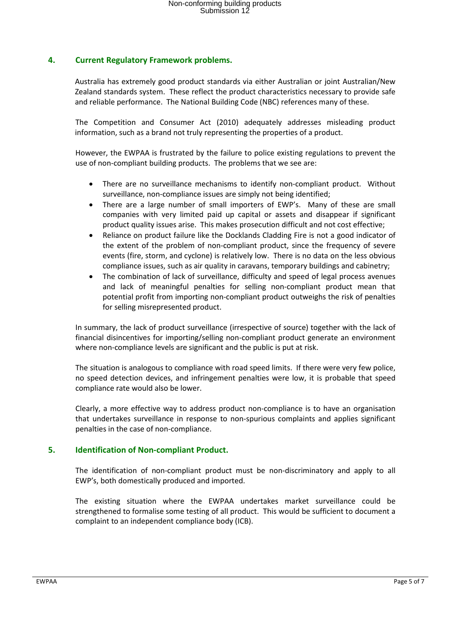## **4. Current Regulatory Framework problems.**

Australia has extremely good product standards via either Australian or joint Australian/New Zealand standards system. These reflect the product characteristics necessary to provide safe and reliable performance. The National Building Code (NBC) references many of these.

The Competition and Consumer Act (2010) adequately addresses misleading product information, such as a brand not truly representing the properties of a product.

However, the EWPAA is frustrated by the failure to police existing regulations to prevent the use of non-compliant building products. The problems that we see are:

- There are no surveillance mechanisms to identify non-compliant product. Without surveillance, non-compliance issues are simply not being identified;
- There are a large number of small importers of EWP's. Many of these are small companies with very limited paid up capital or assets and disappear if significant product quality issues arise. This makes prosecution difficult and not cost effective;
- Reliance on product failure like the Docklands Cladding Fire is not a good indicator of the extent of the problem of non-compliant product, since the frequency of severe events (fire, storm, and cyclone) is relatively low. There is no data on the less obvious compliance issues, such as air quality in caravans, temporary buildings and cabinetry;
- The combination of lack of surveillance, difficulty and speed of legal process avenues and lack of meaningful penalties for selling non-compliant product mean that potential profit from importing non-compliant product outweighs the risk of penalties for selling misrepresented product.

In summary, the lack of product surveillance (irrespective of source) together with the lack of financial disincentives for importing/selling non-compliant product generate an environment where non-compliance levels are significant and the public is put at risk.

The situation is analogous to compliance with road speed limits. If there were very few police, no speed detection devices, and infringement penalties were low, it is probable that speed compliance rate would also be lower.

Clearly, a more effective way to address product non-compliance is to have an organisation that undertakes surveillance in response to non-spurious complaints and applies significant penalties in the case of non-compliance.

## **5. Identification of Non-compliant Product.**

The identification of non-compliant product must be non-discriminatory and apply to all EWP's, both domestically produced and imported.

The existing situation where the EWPAA undertakes market surveillance could be strengthened to formalise some testing of all product. This would be sufficient to document a complaint to an independent compliance body (ICB).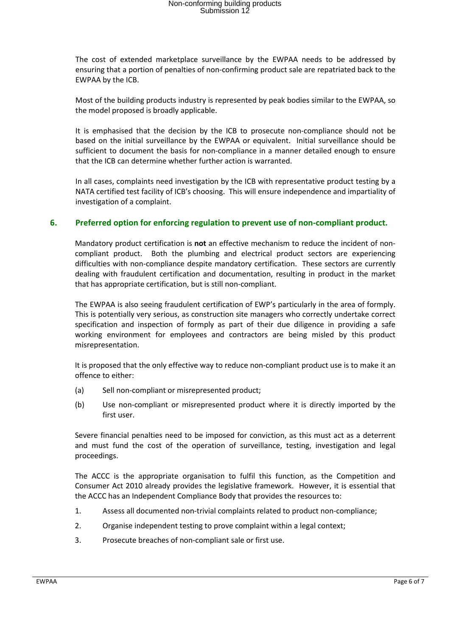The cost of extended marketplace surveillance by the EWPAA needs to be addressed by ensuring that a portion of penalties of non-confirming product sale are repatriated back to the EWPAA by the ICB.

Most of the building products industry is represented by peak bodies similar to the EWPAA, so the model proposed is broadly applicable.

It is emphasised that the decision by the ICB to prosecute non-compliance should not be based on the initial surveillance by the EWPAA or equivalent. Initial surveillance should be sufficient to document the basis for non-compliance in a manner detailed enough to ensure that the ICB can determine whether further action is warranted.

In all cases, complaints need investigation by the ICB with representative product testing by a NATA certified test facility of ICB's choosing. This will ensure independence and impartiality of investigation of a complaint.

### **6. Preferred option for enforcing regulation to prevent use of non-compliant product.**

Mandatory product certification is **not** an effective mechanism to reduce the incident of noncompliant product. Both the plumbing and electrical product sectors are experiencing difficulties with non-compliance despite mandatory certification. These sectors are currently dealing with fraudulent certification and documentation, resulting in product in the market that has appropriate certification, but is still non-compliant.

The EWPAA is also seeing fraudulent certification of EWP's particularly in the area of formply. This is potentially very serious, as construction site managers who correctly undertake correct specification and inspection of formply as part of their due diligence in providing a safe working environment for employees and contractors are being misled by this product misrepresentation.

It is proposed that the only effective way to reduce non-compliant product use is to make it an offence to either:

- (a) Sell non-compliant or misrepresented product;
- (b) Use non-compliant or misrepresented product where it is directly imported by the first user.

Severe financial penalties need to be imposed for conviction, as this must act as a deterrent and must fund the cost of the operation of surveillance, testing, investigation and legal proceedings.

The ACCC is the appropriate organisation to fulfil this function, as the Competition and Consumer Act 2010 already provides the legislative framework. However, it is essential that the ACCC has an Independent Compliance Body that provides the resources to:

- 1. Assess all documented non-trivial complaints related to product non-compliance;
- 2. Organise independent testing to prove complaint within a legal context;
- 3. Prosecute breaches of non-compliant sale or first use.